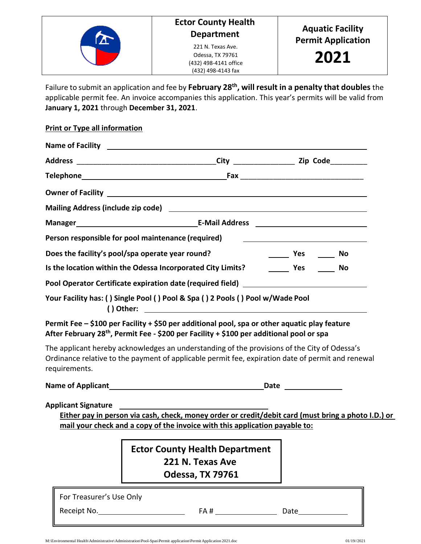

Failure to submit an application and fee by **February 28th, will result in a penalty that doubles** the applicable permit fee. An invoice accompanies this application. This year's permits will be valid from **January 1, 2021** through **December 31, 2021**.

## **Print or Type all information**

| Manager <b>Manager Manager Manager Manager Manager Manager Manager Manager Manager Manager Manager Manager Manager Manager Manager Manager Manager Manager Manager Manager Manager Manager Manager Manager Manager Manager Manag</b> |  |                                  |  |
|--------------------------------------------------------------------------------------------------------------------------------------------------------------------------------------------------------------------------------------|--|----------------------------------|--|
| Person responsible for pool maintenance (required)                                                                                                                                                                                   |  |                                  |  |
| Does the facility's pool/spa operate year round?                                                                                                                                                                                     |  | <b>Example 2</b> Yes ________ No |  |
|                                                                                                                                                                                                                                      |  |                                  |  |
|                                                                                                                                                                                                                                      |  |                                  |  |
| Your Facility has: ( ) Single Pool ( ) Pool & Spa ( ) 2 Pools ( ) Pool w/Wade Pool                                                                                                                                                   |  |                                  |  |

**Permit Fee – \$100 per Facility + \$50 per additional pool, spa or other aquatic play feature After February 28th, Permit Fee - \$200 per Facility + \$100 per additional pool or spa**

The applicant hereby acknowledges an understanding of the provisions of the City of Odessa's Ordinance relative to the payment of applicable permit fee, expiration date of permit and renewal requirements.

**Name of Applicant Date Date Date Date Date Date Date Date Date Date Date Date Date Date Date D** 

**Applicant Signature**

**Either pay in person via cash, check, money order or credit/debit card (must bring a photo I.D.) or mail your check and a copy of the invoice with this application payable to:**

> **Ector County Health Department 221 N. Texas Ave Odessa, TX 79761**

For Treasurer's Use Only Receipt No. FA # Date

M:\Environmental Health\Administrative\Administration\Pool-Spas\Permit application\PermitApplication 2021.doc 01/19//2021